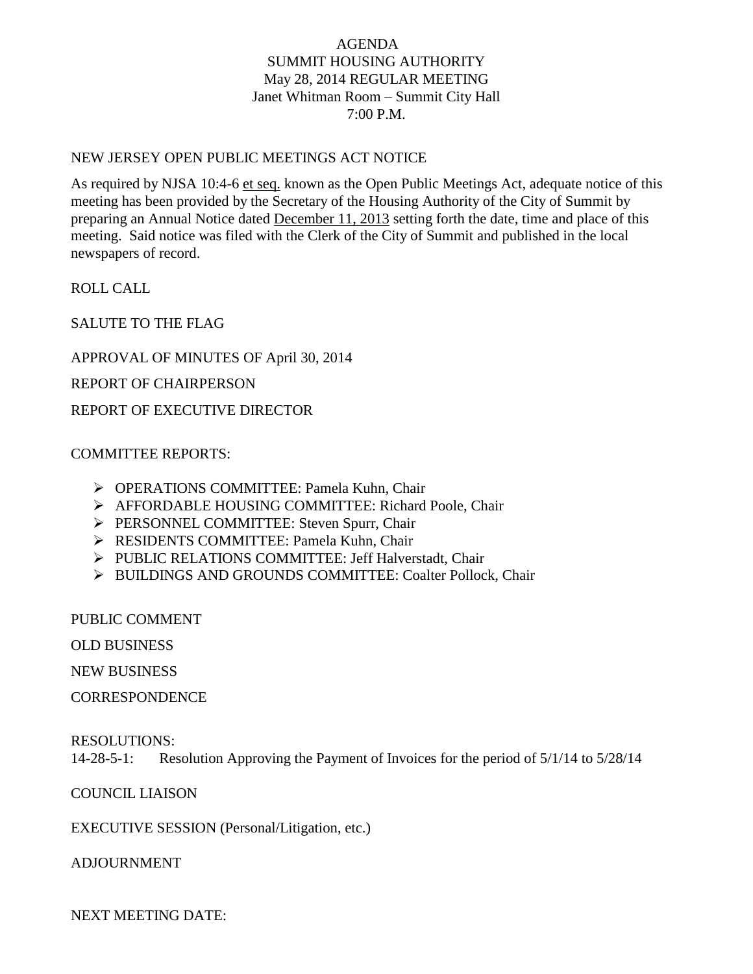# AGENDA SUMMIT HOUSING AUTHORITY May 28, 2014 REGULAR MEETING Janet Whitman Room – Summit City Hall 7:00 P.M.

### NEW JERSEY OPEN PUBLIC MEETINGS ACT NOTICE

As required by NJSA 10:4-6 et seq. known as the Open Public Meetings Act, adequate notice of this meeting has been provided by the Secretary of the Housing Authority of the City of Summit by preparing an Annual Notice dated December 11, 2013 setting forth the date, time and place of this meeting. Said notice was filed with the Clerk of the City of Summit and published in the local newspapers of record.

ROLL CALL

SALUTE TO THE FLAG

APPROVAL OF MINUTES OF April 30, 2014

REPORT OF CHAIRPERSON

REPORT OF EXECUTIVE DIRECTOR

### COMMITTEE REPORTS:

- OPERATIONS COMMITTEE: Pamela Kuhn, Chair
- AFFORDABLE HOUSING COMMITTEE: Richard Poole, Chair
- PERSONNEL COMMITTEE: Steven Spurr, Chair
- RESIDENTS COMMITTEE: Pamela Kuhn, Chair
- PUBLIC RELATIONS COMMITTEE: Jeff Halverstadt, Chair
- > BUILDINGS AND GROUNDS COMMITTEE: Coalter Pollock, Chair

PUBLIC COMMENT

OLD BUSINESS

NEW BUSINESS

**CORRESPONDENCE** 

#### RESOLUTIONS:

14-28-5-1: Resolution Approving the Payment of Invoices for the period of 5/1/14 to 5/28/14

# COUNCIL LIAISON

EXECUTIVE SESSION (Personal/Litigation, etc.)

ADJOURNMENT

NEXT MEETING DATE: